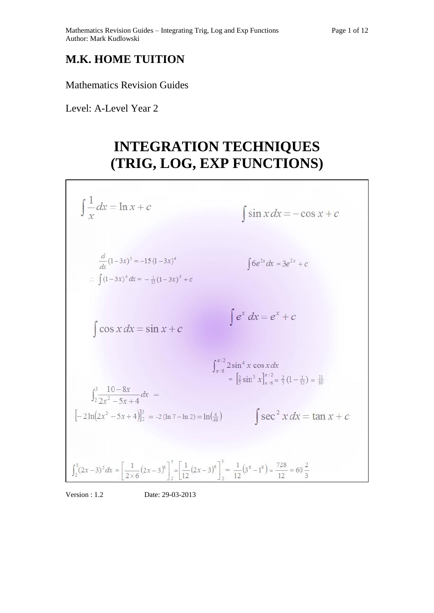### **M.K. HOME TUITION**

Mathematics Revision Guides

Level: A-Level Year 2

Г

# **INTEGRATION TECHNIQUES (TRIG, LOG, EXP FUNCTIONS)**

| $\int \frac{1}{x} dx = \ln x + c$                                                                                                                                                 | $\int \sin x dx = -\cos x + c$                                                                                                                       |
|-----------------------------------------------------------------------------------------------------------------------------------------------------------------------------------|------------------------------------------------------------------------------------------------------------------------------------------------------|
| $\frac{d}{dx}(1-3x)^5 = -15(1-3x)^4$<br>$\therefore \int (1-3x)^4 dx = -\frac{1}{15}(1-3x)^5 + c$                                                                                 | $\int 6e^{2x} dx = 3e^{2x} + c$                                                                                                                      |
| $\int \cos x dx = \sin x + c$                                                                                                                                                     | $\int e^x dx = e^x + c$                                                                                                                              |
|                                                                                                                                                                                   | $\int_{\pi/6}^{\pi/2} 2\sin^4 x \cos x dx$<br>= $\left[\frac{2}{5} \sin^5 x \right]_{\pi/6}^{\pi/2} = \frac{2}{5} (1 - \frac{1}{3}) = \frac{31}{30}$ |
| $\int_{2}^{3} \frac{10-8x}{2x^2-5x+4} dx =$<br>$\left[-2\ln(2x^2-5x+4)\right]_2^3$ = -2 (ln 7 - ln 2) = $\ln(\frac{4}{49})$                                                       | $\int \sec^2 x dx = \tan x + c$                                                                                                                      |
| $\int_2^3 (2x-3)^5 dx = \left[ \frac{1}{2 \times 6} (2x-3)^6 \right]_2^3 = \left[ \frac{1}{12} (2x-3)^6 \right]_2^3 = \frac{1}{12} (3^6 - 1^6) = \frac{728}{12} = 60 \frac{2}{3}$ |                                                                                                                                                      |

Version : 1.2 Date: 29-03-2013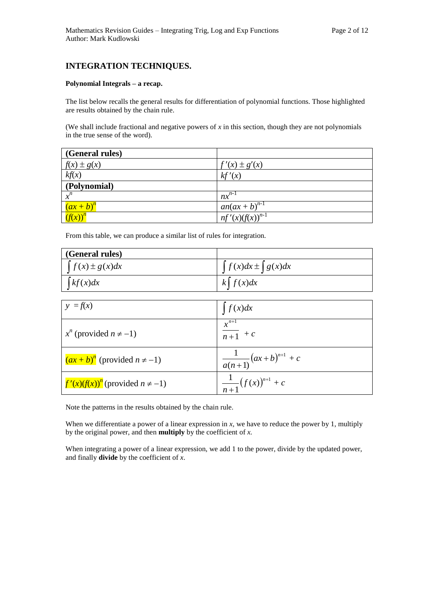#### **INTEGRATION TECHNIQUES.**

#### **Polynomial Integrals – a recap.**

The list below recalls the general results for differentiation of polynomial functions. Those highlighted are results obtained by the chain rule.

(We shall include fractional and negative powers of *x* in this section, though they are not polynomials in the true sense of the word).

| (General rules) |                      |
|-----------------|----------------------|
| $f(x) \pm g(x)$ | $f'(x) \pm g'(x)$    |
| kf(x)           | kf'(x)               |
| (Polynomial)    |                      |
| $x^n$           | $nx^{n-1}$           |
| $(ax+b)^n$      | $an(ax+b)^{n-1}$     |
| $(f(x))^{n}$    | $nf'(x)(f(x))^{n-1}$ |

From this table, we can produce a similar list of rules for integration.

| (General rules)         |                               |
|-------------------------|-------------------------------|
| $\int f(x) \pm g(x) dx$ | $\int f(x)dx \pm \int g(x)dx$ |
| k f(x) dx               | $k \mid f(x)dx$               |

| $y = f(x)$                                    | $\int f(x)dx$                      |
|-----------------------------------------------|------------------------------------|
| $x^n$ (provided $n \neq -1$ )                 | $x^{n+1}$<br>$\frac{1}{n+1} + c$   |
| $(ax + b)^n$ (provided $n \neq -1$ )          | $\frac{1}{a(n+1)}(ax+b)^{n+1} + c$ |
| $\int f'(x) (f(x))^n$ (provided $n \neq -1$ ) | $\frac{1}{n+1}(f(x))^{n+1} + c$    |

Note the patterns in the results obtained by the chain rule.

When we differentiate a power of a linear expression in *x*, we have to reduce the power by 1, multiply by the original power, and then **multiply** by the coefficient of *x.*

When integrating a power of a linear expression, we add 1 to the power, divide by the updated power, and finally **divide** by the coefficient of *x*.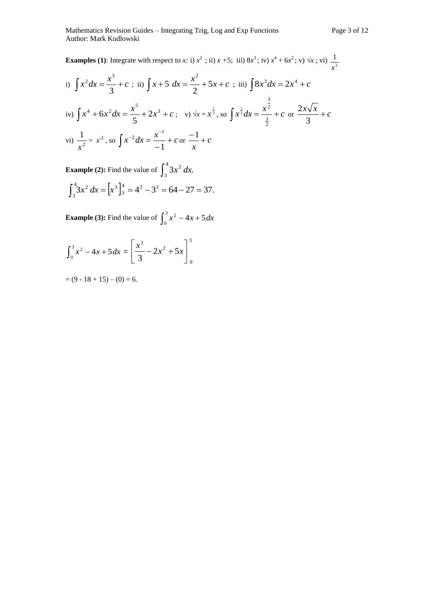**Examples (1)**: Integrate with respect to *x*: i)  $x^2$ ; ii)  $x + 5$ ; iii)  $8x^3$ ; iv)  $x^4 + 6x^2$ ; v)  $\sqrt{x}$ ; vi)  $\frac{1}{x^2}$ 1 *x* i)  $\int x^2 dx = \frac{x^3}{3} + c$ 3  $x^2 dx = \frac{x^3}{3} + c$ ; ii)  $\int x + 5 dx = \frac{x^2}{2} + 5x + c$ 2 5 2 ; iii)  $\int 8x^3 dx = 2x^4 + c$ iv)  $\int x^4 + 6x^2 dx = \frac{x^5}{5} + 2x^3 + c$ 5  $6x^2 dx = \frac{x^5}{5} + 2x^3 + c$ ; v)  $\sqrt{x} = x^{\frac{1}{2}}$ , so  $\int x^{\frac{1}{2}} dx = \frac{x^2}{\frac{3}{2}} + c$ 2 3  $\frac{1}{2}dx = \frac{x^2}{2} + c$  or  $\frac{2x\sqrt{x}}{2} + c$ 3 2 vi)  $\frac{1}{2}$ 1 *x*  $= x^2$ , so  $\int x^{-2} dx = \frac{x}{-1} +$ - $=$  $x^{-2}dx = \frac{x^{-1}}{1} + c$ 1  $^{2}dx = \frac{x^{-1}}{1} + c$  or  $\frac{-1}{1} + c$ *x*  $\frac{-1}{+}$ 

**Example (2):** Find the value of  $\int_3^4$ 3  $3x^2 dx$ .  $\int_3^4 3x^2 dx = [x^3]_3^4 = 4^3 - 3^3 = 64 - 27 =$ 3  $4^{4} - 4^{3} - 2^{3}$ 3  $3x^{2} dx = |x^{3}|_{3}^{4} = 4^{3} - 3^{3} = 64 - 27 = 37.$ 

**Example (3):** Find the value of  $\int_0^3 x^2 - 4x +$  $\mathbf{0}$  $x^2 - 4x + 5 dx$ 

$$
\int_0^3 x^2 - 4x + 5 dx = \left[ \frac{x^3}{3} - 2x^2 + 5x \right]_0^3
$$

 $= (9 - 18 + 15) - (0) = 6.$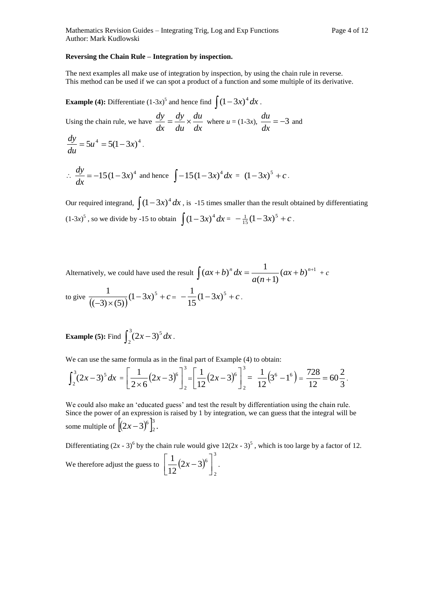#### **Reversing the Chain Rule – Integration by inspection.**

The next examples all make use of integration by inspection, by using the chain rule in reverse. This method can be used if we can spot a product of a function and some multiple of its derivative.

**Example (4):** Differentiate  $(1-3x)^5$  and hence find  $\int (1-3x)^4 dx$ .

Using the chain rule, we have  $\frac{dy}{dx} = \frac{dy}{du} \times \frac{du}{dx}$ *du du dy dx*  $\frac{dy}{dx} = \frac{dy}{dx} \times \frac{du}{dx}$  where  $u = (1-3x), \frac{du}{dx} = -3$ *dx*  $\frac{du}{dt} = -3$  and  $5u^4 = 5(1-3x)^4$ *du*  $\frac{dy}{dx}$  = 5u<sup>4</sup> = 5(1-3x)<sup>4</sup>.

$$
\therefore \frac{dy}{dx} = -15(1-3x)^4 \text{ and hence } \int -15(1-3x)^4 dx = (1-3x)^5 + c.
$$

Our required integrand,  $\int (1-3x)^4 dx$ , is -15 times smaller than the result obtained by differentiating  $(1-3x)^5$ , so we divide by -15 to obtain  $\int (1-3x)^4 dx = -\frac{1}{15}(1-3x)^5 + c$  $\frac{1}{15}(1-3x)^5 + c$ .

Alternatively, we could have used the result  $\int (ax+b)^n dx = \frac{1}{a(n+1)} (ax+b)^{n+1}$  $\overline{+}$  $(b)^n dx = \frac{1}{(ax+b)^{n+1}}$  $(n+1)$  $(ax + b)^n dx = \frac{1}{(ax + b)^n}$ *a n*  $(ax+b)^n dx = \frac{1}{ax+(-ax+b)^{n+1}} + c$ to give  $\frac{1}{((-3) \times (5))}$  $(-3x)^{5} + c$  $-3\times$  $(1-3x)^5$  $(-3) \times (5)$  $\frac{1}{(1-3x)^5}$  + c =  $\frac{1}{5(1-3x)^5}$  + c 15  $\frac{1}{1} (1-3x)^5 + c$ .

**Example (5):** Find  $\int_2^3 (2x -$ 2  $(2x-3)^5 dx$ .

We can use the same formula as in the final part of Example (4) to obtain:

$$
\int_2^3 (2x-3)^5 dx = \left[ \frac{1}{2 \times 6} (2x-3)^6 \right]_2^3 = \left[ \frac{1}{12} (2x-3)^6 \right]_2^3 = \frac{1}{12} (3^6 - 1^6) = \frac{728}{12} = 60 \frac{2}{3}.
$$

We could also make an 'educated guess' and test the result by differentiation using the chain rule. Since the power of an expression is raised by 1 by integration, we can guess that the integral will be some multiple of  $\left[ (2x-3)^6 \right]_2^3$ 2  $(2x-3)^6 \Big]_{2}^{3}$ .

Differentiating  $(2x - 3)^6$  by the chain rule would give  $12(2x - 3)^5$ , which is too large by a factor of 12.

We therefore adjust the guess to  $\frac{1}{\sqrt{2}}(2x-3)$ 3 2  $(2x-3)^6$ 12 1  $\overline{\phantom{a}}$  $\overline{\phantom{a}}$  $\overline{\mathsf{L}}$  $\left| \frac{1}{4} (2x-3)^6 \right|^{5}$ .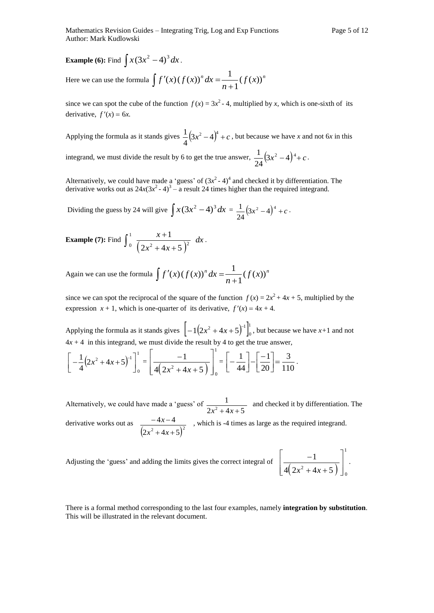# **Example (6):** Find  $\int x(3x^2 - 4)^3 dx$ .

Here we can use the formula  $\int f'(x) (f(x))^n dx = \frac{1}{\int f(x)^n}$ *n*  $f'(x) (f(x))^n dx = \frac{1}{x^2} (f(x))$ 1  $f(x)(f(x))^{n} dx = \frac{1}{x}$  $\overline{+}$  $\int f'(x) (f(x))^n dx =$ 

since we can spot the cube of the function  $f(x) = 3x^2 - 4$ , multiplied by *x*, which is one-sixth of its derivative,  $f'(x) = 6x$ .

Applying the formula as it stands gives  $\frac{1}{2}(3x^2-4)^4 + c$ 4  $\frac{1}{2}(3x^2-4)^4 + c$ , but because we have *x* and not 6*x* in this integrand, we must divide the result by 6 to get the true answer,  $\frac{1}{2} (3x^2 - 4)^4 + c$ 24  $\frac{1}{2}(3x^2-4)^4+c$ .

Alternatively, we could have made a 'guess' of  $(3x^2 - 4)^4$  and checked it by differentiation. The derivative works out as  $24x(3x^2 - 4)^3 - a$  result 24 times higher than the required integrand.

Dividing the guess by 24 will give  $\int x(3x^2 - 4)^3 dx = \frac{1}{24}(3x^2 - 4)^4 + c$ 24  $\frac{1}{2}(3x^2-4)^4+c$ 

**Example (7): Find** 
$$
\int_0^1 \frac{x+1}{(2x^2+4x+5)^2} dx
$$
.

Again we can use the formula  $\int f'(x) (f(x))^n dx = \frac{1}{\int f(x)^n}$ *n*  $f'(x) (f(x))^n dx = \frac{1}{x^m} (f(x))$ 1  $(x)(f(x))^{n} dx = \frac{1}{\sqrt{1 + (x-a)^{n}}}$  $^{+}$  $\int f'(x) (f(x))^n dx =$ 

since we can spot the reciprocal of the square of the function  $f(x) = 2x^2 + 4x + 5$ , multiplied by the expression  $x + 1$ , which is one-quarter of its derivative,  $f'(x) = 4x + 4$ .

Applying the formula as it stands gives  $\left[-1(2x^2+4x+5)^{1}\right]_0^1$ 0  $-1(2x^2+4x+5)^{-1}\Big|_0^1$ , but because we have  $x+1$  and not  $4x + 4$  in this integrand, we must divide the result by 4 to get the true answer,

$$
\left[-\frac{1}{4}(2x^2+4x+5)^{-1}\right]_0^1 = \left[\frac{-1}{4(2x^2+4x+5)}\right]_0^1 = \left[-\frac{1}{44}\right] - \left[\frac{-1}{20}\right] = \frac{3}{110}.
$$

Alternatively, we could have made a 'guess' of  $2x^2 + 4x + 5$ 1  $x^2 + 4x +$  and checked it by differentiation. The derivative works out as  $(2x^2+4x+5)^2$  $4x - 4$  $+4x+$  $-4x$  $x^2 + 4x$  $\frac{x-4}{x-4}$ , which is -4 times as large as the required integrand.

Adjusting the 'guess' and adding the limits gives the correct integral of

$$
\left[\frac{-1}{4(2x^2+4x+5)}\right]_0^1.
$$

There is a formal method corresponding to the last four examples, namely **integration by substitution**. This will be illustrated in the relevant document.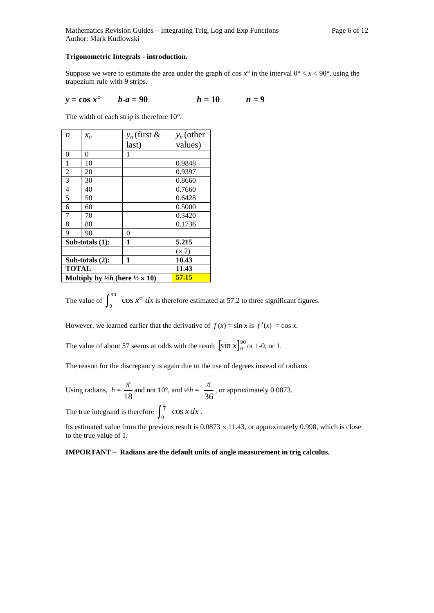#### **Trigonometric Integrals - introduction.**

Suppose we were to estimate the area under the graph of cos  $x^\circ$  in the interval  $0^\circ < x < 90^\circ$ , using the trapezium rule with 9 strips.

$$
y = \cos x^{\bullet}
$$
  $b-a = 90$   $h = 10$   $n = 9$ 

The width of each strip is therefore 10°.

| n                                                          | $x_n$              | $y_n$ (first & | $y_n$ (other |
|------------------------------------------------------------|--------------------|----------------|--------------|
|                                                            |                    | last)          | values)      |
| 0                                                          | 0                  | 1              |              |
| 1                                                          | 10                 |                | 0.9848       |
| 2                                                          | 20                 |                | 0.9397       |
| 3                                                          | 30                 |                | 0.8660       |
| 4                                                          | 40                 |                | 0.7660       |
| 5                                                          | 50                 |                | 0.6428       |
| 6                                                          | 60                 |                | 0.5000       |
| 7                                                          | 70                 |                | 0.3420       |
| 8                                                          | 80                 |                | 0.1736       |
| 9                                                          | 90                 | 0              |              |
|                                                            | Sub-totals $(1)$ : | 1              | 5.215        |
|                                                            |                    |                | (x 2)        |
| 1<br>Sub-totals $(2)$ :                                    |                    | 10.43          |              |
| TOTAL                                                      |                    | 11.43          |              |
| Multiply by $\frac{1}{2}h$ (here $\frac{1}{2} \times 10$ ) |                    | 57.15          |              |

The value of  $\int_0^{90} \cos x^\circ dx$  $\cos x^{\circ} dx$  is therefore estimated at 57.2 to three significant figures.

However, we learned earlier that the derivative of  $f(x) = \sin x$  is  $f'(x) = \cos x$ .

The value of about 57 seems at odds with the result  $\left[\sin x\right]_0^{90}$  $\sin x \Big|_0^{90}$  or 1-0, or 1.

The reason for the discrepancy is again due to the use of degrees instead of radians.

Using radians, 
$$
h = \frac{\pi}{18}
$$
 and not 10°, and  $\frac{1}{2h} = \frac{\pi}{36}$ , or approximately 0.0873.

The true integrand is therefore  $\int_0^{\frac{\pi}{2}} \cos x dx$ .

Its estimated value from the previous result is  $0.0873 \times 11.43$ , or approximately 0.998, which is close to the true value of 1.

#### **IMPORTANT – Radians are the default units of angle measurement in trig calculus.**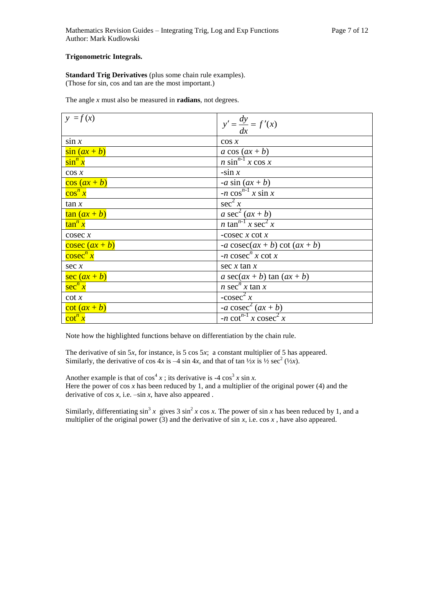#### **Trigonometric Integrals.**

**Standard Trig Derivatives** (plus some chain rule examples). (Those for sin, cos and tan are the most important.)

The angle *x* must also be measured in **radians**, not degrees.

| $y = f(x)$               | $y' = \frac{dy}{dx} = f'(x)$                     |
|--------------------------|--------------------------------------------------|
| $\sin x$                 | $\cos x$                                         |
| $\sin(ax+b)$             | $a \cos(ax+b)$                                   |
| $\sin^n x$               | $n \sin^{n-1} x \cos x$                          |
| $\cos x$                 | $-sin x$                                         |
| $\frac{\cos{(ax+b)}}{a}$ | -a sin $(ax + b)$                                |
| $\cos^n x$               | $-n \cos^{n-1} x \sin x$                         |
| tan x                    | $\sec^2 x$                                       |
| $\tan(ax+b)$             | a $\sec^2(ax+b)$                                 |
| $\tan^n x$               | <i>n</i> tan <sup>n-1</sup> x sec <sup>2</sup> x |
| $\csc x$                 | -cosec $x$ cot $x$                               |
| $\csc (ax + b)$          | $-a \csc(ax + b) \cot(ax + b)$                   |
| cosec <sup>n</sup> x     | $-n \csc^n x \cot x$                             |
| sec x                    | $\sec x \tan x$                                  |
| $\sec (ax + b)$          | a $sec(ax + b)$ tan $(ax + b)$                   |
| $\sec^n x$               | <i>n</i> sec <sup><i>n</i></sup> $x$ tan $x$     |
| $\cot x$                 | -cosec <sup>2</sup> $\overline{x}$               |
| $\cot(ax+b)$             | -a cosec <sup>2</sup> $(ax + b)$                 |
| $\cot^n x$               | $-n \cot^{n-1} x \csc^2 x$                       |

Note how the highlighted functions behave on differentiation by the chain rule.

The derivative of sin 5*x*, for instance, is 5 cos 5*x*; a constant multiplier of 5 has appeared. Similarly, the derivative of cos  $4x$  is  $-4 \sin 4x$ , and that of  $\tan \frac{1}{2}x$  is  $\frac{1}{2} \sec^2 (\frac{1}{2}x)$ .

Another example is that of  $cos<sup>4</sup> x$ ; its derivative is -4  $cos<sup>3</sup> x sin x$ . Here the power of  $\cos x$  has been reduced by 1, and a multiplier of the original power (4) and the derivative of  $cos x$ , i.e.  $-sin x$ , have also appeared .

Similarly, differentiating  $\sin^3 x$  gives 3  $\sin^2 x \cos x$ . The power of  $\sin x$  has been reduced by 1, and a multiplier of the original power (3) and the derivative of  $\sin x$ , i.e.  $\cos x$ , have also appeared.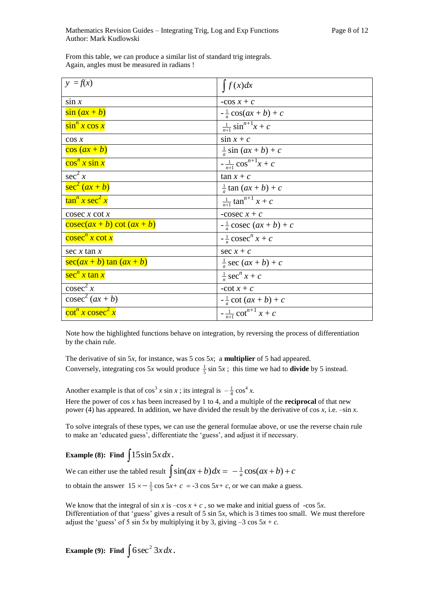| $y = f(x)$                  | $\int f(x)dx$                            |
|-----------------------------|------------------------------------------|
| $\sin x$                    | -cos $x + c$                             |
| $\sin(ax+b)$                | $-\frac{1}{a}\cos(ax+b)+c$               |
| $\sin^n x \cos x$           | $\frac{1}{n+1}$ sin <sup>n+1</sup> x + c |
| $\cos x$                    | $\sin x + c$                             |
| $\frac{\cos{(ax+b)}}{a}$    | $\frac{1}{a}$ sin $(ax + b) + c$         |
| $\cos^n x \sin x$           | $-\frac{1}{n+1}\cos^{n+1}x + c$          |
| $\sec^2 x$                  | $\tan x + c$                             |
| $\sec^2(ax+b)$              | $\frac{1}{a}$ tan $(ax + b) + c$         |
| $\tan^n x \sec^2 x$         | $\frac{1}{n+1}$ tan <sup>n+1</sup> x + c |
| $\csc x \cot x$             | -cosec $x + c$                           |
| $\csc(ax+b)\cot(ax+b)$      | $-\frac{1}{a}$ cosec $(ax + b) + c$      |
| $\csc^n x \cot x$           | $-\frac{1}{x}cosec^{n} x + c$            |
| sec $x \tan x$              | sec $x + c$                              |
| $\sec(ax + b) \tan(ax + b)$ | $\frac{1}{a}$ sec $(ax + b) + c$         |
| $\sec^n x \tan x$           | $\frac{1}{n}$ sec <sup>n</sup> $x + c$   |
| $\csc^2 x$                  | -cot $x + c$                             |
| $\csc^2(ax+b)$              | $-\frac{1}{a}\cot(ax+b)+c$               |
| $\cot^n x \csc^2 x$         | $-\frac{1}{n+1}\cot^{n+1} x + c$         |

From this table, we can produce a similar list of standard trig integrals. Again, angles must be measured in radians !

Note how the highlighted functions behave on integration, by reversing the process of differentiation by the chain rule.

The derivative of sin 5*x*, for instance, was 5 cos 5*x*; a **multiplier** of 5 had appeared. Conversely, integrating cos 5*x* would produce  $\frac{1}{5}$  sin 5*x*; this time we had to **divide** by 5 instead.

Another example is that of  $\cos^3 x \sin x$ ; its integral is  $-\frac{1}{4} \cos^4 x$ .

Here the power of cos *x* has been increased by 1 to 4, and a multiple of the **reciprocal** of that new power (4) has appeared. In addition, we have divided the result by the derivative of cos *x*, i.e. –sin *x*.

To solve integrals of these types, we can use the general formulae above, or use the reverse chain rule to make an 'educated guess', differentiate the 'guess', and adjust it if necessary.

## **Example (8):** Find  $\int 15\sin 5x dx$ .

We can either use the tabled result  $\int \sin(ax + b) dx = -\frac{1}{a}\cos(ax + b) + c$ 

to obtain the answer  $15 \times -\frac{1}{5} \cos 5x + c = -3 \cos 5x + c$ , or we can make a guess.

We know that the integral of  $\sin x$  is  $-\cos x + c$ , so we make and initial guess of  $-\cos 5x$ . Differentiation of that 'guess' gives a result of 5 sin 5*x*, which is 3 times too small. We must therefore adjust the 'guess' of 5 sin 5*x* by multiplying it by 3, giving  $-3 \cos 5x + c$ .

**Example (9):** Find  $\int 6 \sec^2 3x dx$ .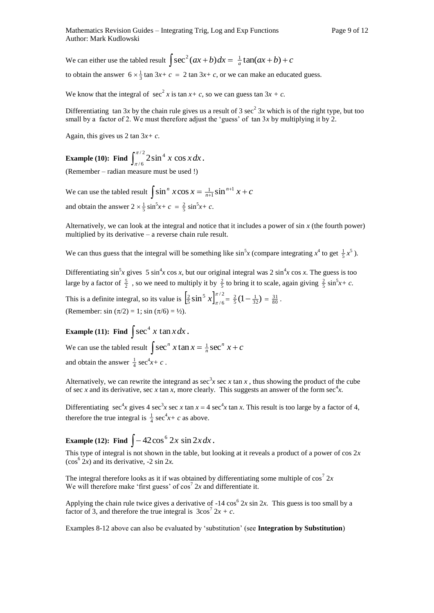We can either use the tabled result  $\int \sec^2(ax + b) dx = \frac{1}{a} \tan(ax + b) + c$ 

to obtain the answer  $6 \times \frac{1}{3}$  tan  $3x+c = 2$  tan  $3x+c$ , or we can make an educated guess.

We know that the integral of  $\sec^2 x$  is tan  $x + c$ , so we can guess tan  $3x + c$ .

Differentiating tan 3x by the chain rule gives us a result of 3 sec<sup>2</sup> 3x which is of the right type, but too small by a factor of 2. We must therefore adjust the 'guess' of tan 3*x* by multiplying it by 2.

Again, this gives us 2 tan 3*x+ c*.

**Example (10): Find**  $\int_{\pi/6}^{\pi/2}$ / 6  $\int_{0}^{\pi/2} 2\sin^4 x \cos$  $\int_{\pi/6}^{x/2} 2\sin^4 x \cos x dx$ .

(Remember – radian measure must be used !)

We can use the tabled result  $\int \sin^n x \cos x = \frac{1}{n+1} \sin^{n+1} x + c$  $\frac{1}{n+1}$ sin<sup>n+1</sup> x +  $^{+}$ 1  $\frac{1}{n+1}$ sin and obtain the answer  $2 \times \frac{1}{5} \sin^5 x + c = \frac{2}{5} \sin^5 x + c$ .

Alternatively, we can look at the integral and notice that it includes a power of sin *x* (the fourth power) multiplied by its derivative – a reverse chain rule result.

We can thus guess that the integral will be something like  $\sin^5 x$  (compare integrating  $x^4$  to get  $\frac{1}{5}x^5$ ).

Differentiating  $\sin^5 x$  gives 5  $\sin^4 x \cos x$ , but our original integral was 2  $\sin^4 x \cos x$ . The guess is too large by a factor of  $\frac{5}{2}$ , so we need to multiply it by  $\frac{2}{5}$  to bring it to scale, again giving  $\frac{2}{5}$  sin<sup>5</sup>x+ c.

This is a definite integral, so its value is  $\left[\frac{2}{5}\sin^5 x\right]_{\pi/6}^{\pi/2}$ / 6 5  $\frac{2}{5}$  sin<sup>5</sup>  $x\int_{\pi/6}^{\pi/2} = \frac{2}{5}(1-\frac{1}{32}) = \frac{31}{80}$ . (Remember: sin  $(\pi/2) = 1$ ; sin  $(\pi/6) = \frac{1}{2}$ ).

**Example (11):** Find  $\int \sec^4 x \tan x dx$ .

We can use the tabled result  $\int \sec^n x \tan x = \frac{1}{n} \sec^n x + c$  $\frac{1}{n}$  sec<sup>*n*</sup>  $x$  + and obtain the answer  $\frac{1}{4}$  sec<sup>4</sup>x+ c.

Alternatively, we can rewrite the integrand as sec<sup>3</sup>x sec x tan x, thus showing the product of the cube of sec *x* and its derivative, sec *x* tan *x*, more clearly. This suggests an answer of the form sec<sup>4</sup>*x*.

Differentiating  $\sec^4 x$  gives 4  $\sec^3 x \sec x \tan x = 4 \sec^4 x \tan x$ . This result is too large by a factor of 4, therefore the true integral is  $\frac{1}{4}$  sec<sup>4</sup>x+ c as above.

**Example (12):** Find  $\int -42\cos^6 2x \sin 2x dx$ .

This type of integral is not shown in the table, but looking at it reveals a product of a power of cos 2*x*  $(\cos^6 2x)$  and its derivative,  $-2 \sin 2x$ .

The integral therefore looks as it if was obtained by differentiating some multiple of  $\cos^7 2x$ We will therefore make 'first guess' of  $cos^7 2x$  and differentiate it.

Applying the chain rule twice gives a derivative of  $-14 \cos^6 2x \sin 2x$ . This guess is too small by a factor of 3, and therefore the true integral is  $3\cos^7 2x + c$ .

Examples 8-12 above can also be evaluated by 'substitution' (see **Integration by Substitution**)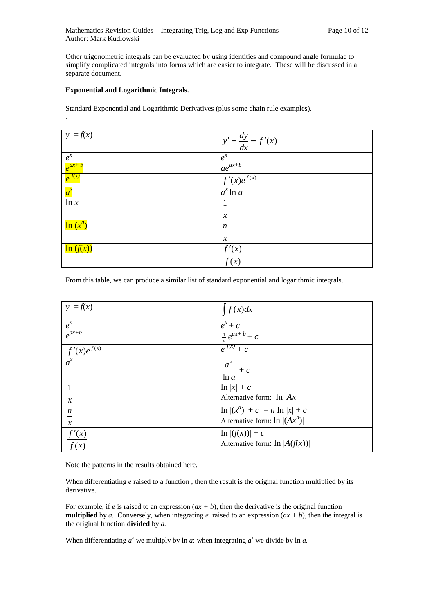Other trigonometric integrals can be evaluated by using identities and compound angle formulae to simplify complicated integrals into forms which are easier to integrate. These will be discussed in a separate document.

#### **Exponential and Logarithmic Integrals.**

.

Standard Exponential and Logarithmic Derivatives (plus some chain rule examples).

| $ y = f(x) $ | $y' = \frac{dy}{dx} = f'(x)$ |
|--------------|------------------------------|
| $e^{x}$      | $e^{x}$                      |
| $e^{ax+b}$   | $\frac{ae^{ax+b}}{2}$        |
| $e^{f(x)}$   | $f'(x)e^{f(x)}$              |
| $a^x$        | $a^x \ln a$                  |
| ln x         |                              |
|              | $\boldsymbol{\chi}$          |
| $\ln(x^n)$   | $\boldsymbol{n}$             |
|              | $\boldsymbol{\chi}$          |
| $\ln(f(x))$  | f'(x)                        |
|              | $\overline{f(x)}$            |

From this table, we can produce a similar list of standard exponential and logarithmic integrals.

| $y = f(x)$                  | f(x)dx                            |
|-----------------------------|-----------------------------------|
| $e^{x}$                     | $e^x+c$                           |
| $e^{ax+b}$                  | $\frac{1}{a}e^{ax+b}+c$           |
| $\frac{f'(x)e^{f(x)}}{a^x}$ | $e^{f(x)}+c$                      |
|                             | $\frac{a^x}{\ln a} + c$           |
|                             | $\ln  x  + c$                     |
| $\mathcal{X}$               | Alternative form: $\ln  Ax $      |
|                             | $\ln  (x^n)  + c = n \ln  x  + c$ |
| $\frac{n}{x}$               | Alternative form: $\ln  (Ax^n) $  |
| f'(x)                       | $\ln  (f(x))  + c$                |
| f(x)                        | Alternative form: $\ln  A(f(x)) $ |

Note the patterns in the results obtained here.

When differentiating *e* raised to a function, then the result is the original function multiplied by its derivative.

For example, if *e* is raised to an expression  $(ax + b)$ , then the derivative is the original function **multiplied** by *a*. Conversely, when integrating *e* raised to an expression  $(ax + b)$ , then the integral is the original function **divided** by *a.*

When differentiating  $a^x$  we multiply by ln *a*: when integrating  $a^x$  we divide by ln *a*.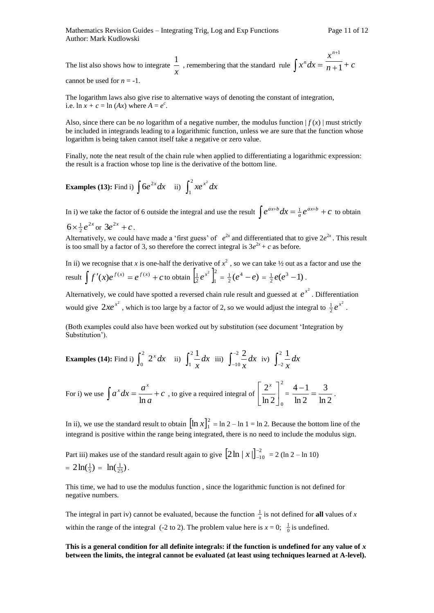The list also shows how to integrate *x*  $\frac{1}{x}$ , remembering that the standard rule  $\int x^n dx = \frac{x}{n+1}$ 1  $\overline{+}$  $^{+}$ *n x n* + *c* cannot be used for  $n = -1$ .

The logarithm laws also give rise to alternative ways of denoting the constant of integration, i.e.  $\ln x + c = \ln (Ax)$  where  $A = e^c$ .

Also, since there can be *no* logarithm of a negative number, the modulus function  $| f(x) |$  must strictly be included in integrands leading to a logarithmic function, unless we are sure that the function whose logarithm is being taken cannot itself take a negative or zero value.

Finally, note the neat result of the chain rule when applied to differentiating a logarithmic expression: the result is a fraction whose top line is the derivative of the bottom line.

**Examples (13):** Find i) 
$$
\int 6e^{2x} dx
$$
 ii)  $\int_1^2 xe^{x^2} dx$ 

In i) we take the factor of 6 outside the integral and use the result  $\int e^{ax+b} dx = \frac{1}{a} e^{ax+b} + c$  $\int_{a}^{ax+b} dx = \frac{1}{a}e^{ax+b} + c$  to obtain

$$
6 \times \frac{1}{2} e^{2x}
$$
 or  $3e^{2x} + c$ .

Alternatively, we could have made a 'first guess' of  $e^{2x}$  and differentiated that to give  $2e^{2x}$ . This result is too small by a factor of 3, so therefore the correct integral is  $3e^{2x} + c$  as before.

In ii) we recognise that *x* is one-half the derivative of  $x^2$ , so we can take  $\frac{1}{2}$  out as a factor and use the result  $\int f'(x)e^{f(x)} = e^{f(x)} + c$  to obtain  $\left[\frac{1}{2}e^{x^2}\right]_1^2$  $\frac{1}{2}e^{x^2}\Big|_1^2=\frac{1}{2}(e^4-e)$  $\frac{1}{2}(e^4-e)=\frac{1}{2}e(e^3-1)$  $\frac{1}{2}e(e^3-1)$ .

Alternatively, we could have spotted a reversed chain rule result and guessed at  $e^{x^2}$ . Differentiation would give  $2xe^{x^2}$ , which is too large by a factor of 2, so we would adjust the integral to  $\frac{1}{2}e^{x^2}$  $\frac{1}{2}e^{x^2}$ .

(Both examples could also have been worked out by substitution (see document 'Integration by Substitution').

**Examples (14):** Find i)  $\int_0^2 2^x dx$  ii)  $\int_1^2$ 1 1 *dx*  $\int \frac{1}{x} dx$  iii)  $\int_{-1}^{-}$  $\overline{a}$ 2 10 2 *dx*  $\int \frac{2}{x} dx$  iv)  $\int_{-1}^{2}$ 2 1 *dx x*

For i) we use 
$$
\int a^x dx = \frac{a^x}{\ln a} + c
$$
, to give a required integral of  $\left[\frac{2^x}{\ln 2}\right]_0^2 = \frac{4-1}{\ln 2} = \frac{3}{\ln 2}$ .

In ii), we use the standard result to obtain  $[\ln x]_1^2$  $\ln x\Big]_1^2 = \ln 2 - \ln 1 = \ln 2$ . Because the bottom line of the integrand is positive within the range being integrated, there is no need to include the modulus sign.

Part iii) makes use of the standard result again to give  $\left[2\ln |x|\right]_{-10}^{-2}$  $x \Big|_{-10}^{-2} = 2 \left( \ln 2 - \ln 10 \right)$  $= 2\ln(\frac{1}{5}) = \ln(\frac{1}{25}).$ 

This time, we had to use the modulus function , since the logarithmic function is not defined for negative numbers.

The integral in part iv) cannot be evaluated, because the function  $\frac{1}{x}$  is not defined for **all** values of *x* within the range of the integral (-2 to 2). The problem value here is  $x = 0$ ;  $\frac{1}{0}$  is undefined.

**This is a general condition for all definite integrals: if the function is undefined for any value of** *x* **between the limits, the integral cannot be evaluated (at least using techniques learned at A-level).**